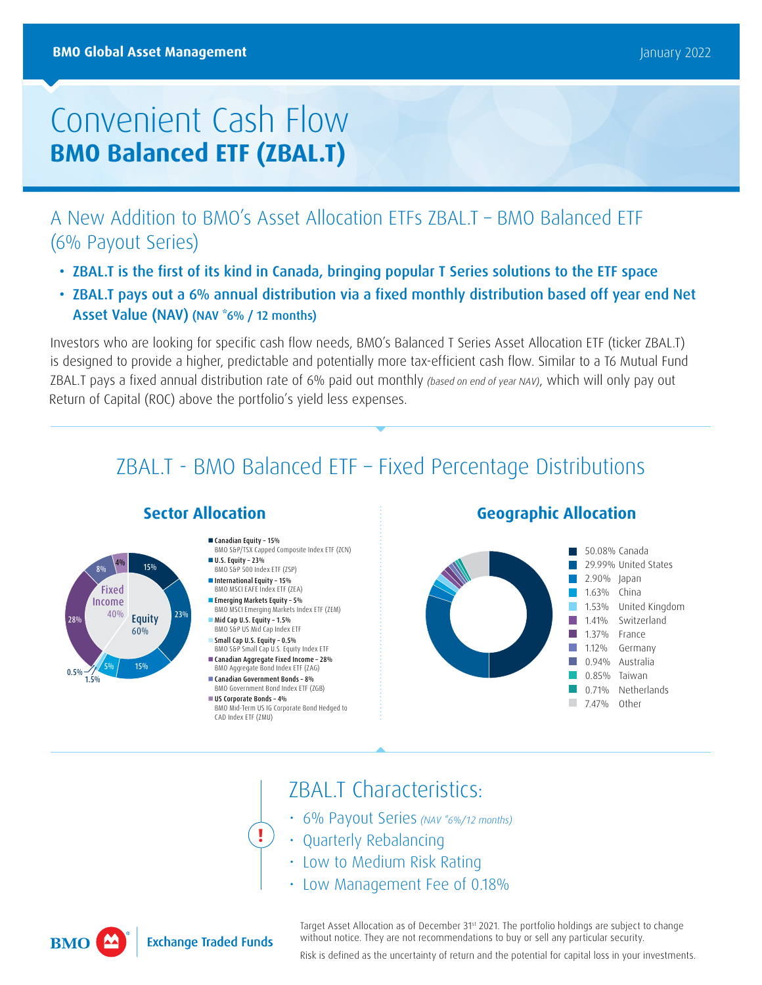# Convenient Cash Flow **BMO Balanced ETF (ZBAL.T)**

A New Addition to BMO's Asset Allocation ETFs ZBAL.T – BMO Balanced ETF (6% Payout Series)

- ZBAL.T is the first of its kind in Canada, bringing popular T Series solutions to the ETF space
- ZBAL.T pays out a 6% annual distribution via a fixed monthly distribution based off year end Net Asset Value (NAV) (NAV \*6% / 12 months)

Investors who are looking for specific cash flow needs, BMO's Balanced T Series Asset Allocation ETF (ticker ZBAL.T) is designed to provide a higher, predictable and potentially more tax-efficient cash flow. Similar to a T6 Mutual Fund ZBAL.T pays a fixed annual distribution rate of 6% paid out monthly (based on end of year NAV), which will only pay out Return of Capital (ROC) above the portfolio's yield less expenses.

## ZBAL.T - BMO Balanced ETF – Fixed Percentage Distributions

 $15%$ 

**Equity** 60%

- Canadian Equity 15% BMO S&P/TSX Capped Composite Index ETF (ZCN)
- U.S. Equity 23% BMO S&P 500 Index ETF (ZSP)
- **International Equity 15%** BMO MSCI EAFE Index ETF (ZEA)
- **Emerging Markets Equity 5%** BMO MSCI Emerging Markets Index ETF (ZEM) Mid Cap U.S. Equity - 1.5%
- BMO S&P US Mid Cap Index ETF Small Cap U.S. Equity – 0.5%
- BMO S&P Small Cap U.S. Equity Index ETF Canadian Aggregate Fixed Income – 28%
- BMO Aggregate Bond Index ETF (ZAG) Canadian Government Bonds – 8%
- BMO Government Bond Index ETF (ZGB) US Corporate Bonds - 4%

**!**

BMO Mid-Term US IG Corporate Bond Hedged to CAD Index ETF (ZMU)

### **Sector Allocation Geographic Allocation**



### ZBAL.T Characteristics:

- 6% Payout Series (NAV \*6%/12 months)
- Quarterly Rebalancing
- Low to Medium Risk Rating
- Low Management Fee of 0.18%



1.5%  $0.5\%$  15% 15%

5%

28%

8%

Fixed Income 40%

**Exchange Traded Funds** 

Target Asset Allocation as of December 31<sup>st</sup> 2021. The portfolio holdings are subject to change without notice. They are not recommendations to buy or sell any particular security.

Risk is defined as the uncertainty of return and the potential for capital loss in your investments.